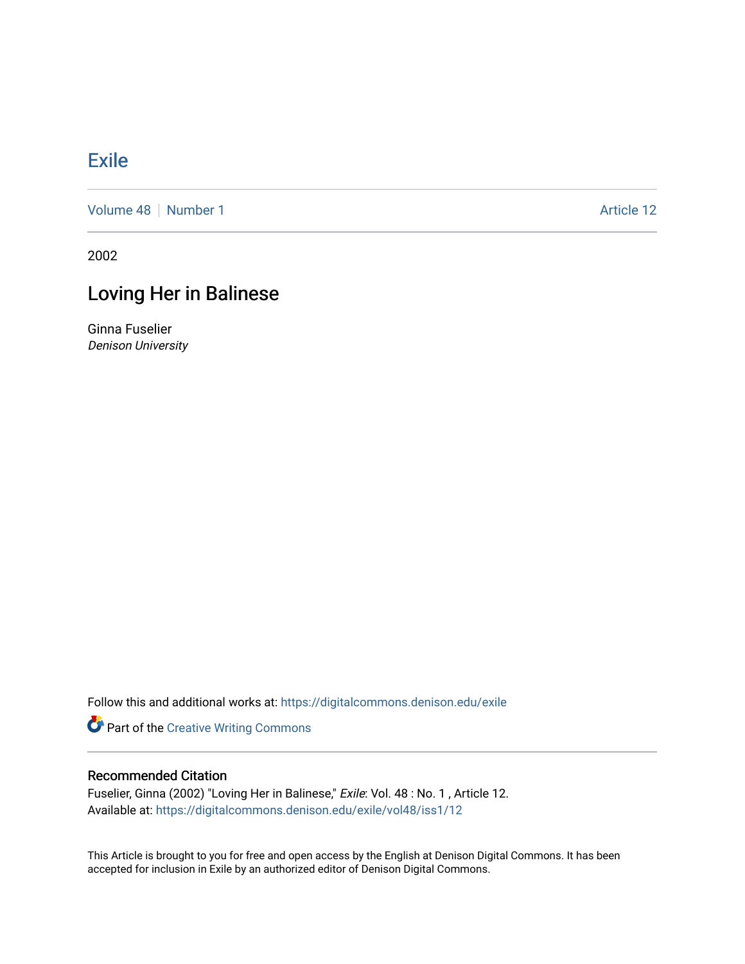## **[Exile](https://digitalcommons.denison.edu/exile)**

[Volume 48](https://digitalcommons.denison.edu/exile/vol48) | [Number 1](https://digitalcommons.denison.edu/exile/vol48/iss1) Article 12

2002

## Loving Her in Balinese

Ginna Fuselier Denison University

Follow this and additional works at: [https://digitalcommons.denison.edu/exile](https://digitalcommons.denison.edu/exile?utm_source=digitalcommons.denison.edu%2Fexile%2Fvol48%2Fiss1%2F12&utm_medium=PDF&utm_campaign=PDFCoverPages) 

Part of the [Creative Writing Commons](http://network.bepress.com/hgg/discipline/574?utm_source=digitalcommons.denison.edu%2Fexile%2Fvol48%2Fiss1%2F12&utm_medium=PDF&utm_campaign=PDFCoverPages) 

## Recommended Citation

Fuselier, Ginna (2002) "Loving Her in Balinese," Exile: Vol. 48 : No. 1 , Article 12. Available at: [https://digitalcommons.denison.edu/exile/vol48/iss1/12](https://digitalcommons.denison.edu/exile/vol48/iss1/12?utm_source=digitalcommons.denison.edu%2Fexile%2Fvol48%2Fiss1%2F12&utm_medium=PDF&utm_campaign=PDFCoverPages)

This Article is brought to you for free and open access by the English at Denison Digital Commons. It has been accepted for inclusion in Exile by an authorized editor of Denison Digital Commons.